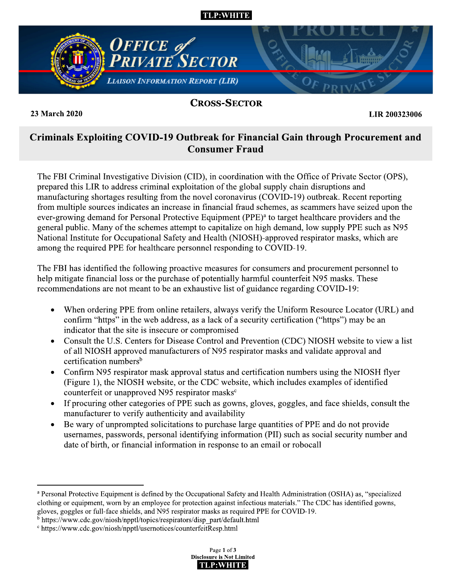# **TLP:WHITE**



LIR 200*323*006

## Criminals Exploiting COVID-19 Outbreak for Financial Gain through Procurement and **Consumer Fraud**

The FBI Criminal Investigative Division (CID), in coordination with the Office of Private Sector (OPS), prepared this LIR to address criminal exploitation of the global supply chain disruptions and manufacturing shortages resulting from the novel coronavirus (COVID-19) outbreak. Recent reporting from multiple sources indicates an increase in financial fraud schemes, as scammers have seized upon the ever-growing demand for Personal Protective Equipment (PPE)<sup>a</sup> to target healthcare providers and the general public. Many of the schemes attempt to capitalize on high demand, low supply PPE such as N95 National Institute for Occupational Safety and Health (NIOSH)-approved respirator masks, which are among the required PPE for healthcare personnel responding to COVID-19.

9 The FBI has identified the following proactive measures for consumers and procurement personnel to help mitigate financial loss or the purchase of potentially harmful counterfeit N95 masks. These recommendations are not meant to be an exhaustive list of guidance regarding COVID-19:

- When ordering PPE from online retailers, always verify the Uniform Resource Locator (URL) and confirm "https" in the web address, as a lack of a security certification ("https") may be an indicator that the site is insecure or compromised
- Consult the U.S. Centers for Disease Control and Prevention (CDC) NIOSH website to view a list of all NIOSH approved manufacturers of N95 respirator masks and validate approval and certification numbers<sup>b</sup>
- Confirm N95 respirator mask approval status and certification numbers using the NIOSH flyer (Figure 1), the NIOSH website, or the CDC website, which includes examples of identified counterfeit or unapproved N95 respirator masks<sup>c</sup>
- If procuring other categories of PPE such as gowns, gloves, goggles, and face shields, consult the manufacturer to verify authenticity and availability
- Be wary of unprompted solicitations to purchase large quantities of PPE and do not provide usernames, passwords, personal identifying information (PII) such as social security number and date of birth, or financial information in response to an email or robocall



<sup>,</sup>  $^{\circ}$  Personal Protective Equipment is defined by the Occupational Safety and Health Administration (OSHA) as, "specialized clothing or equipment, worn by an employee for protection against infectious materials." The CDC has identified gowns, gloves, goggles or full-face shields, and N95 respirator masks as required PPE for COVID-19.

 $\frac{1}{2}$  https://www.cdc.gov/niosh/npptl/topics/respirators/disp\_part/default.html<br>c https://www.cdc.gov/niosh/npptl/usernotices/counterfeitResp.html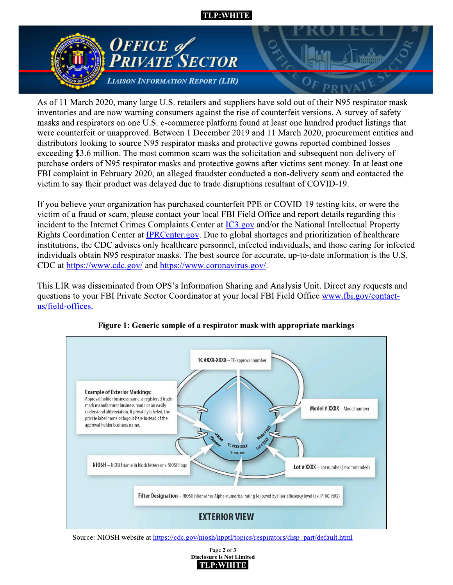### TLP:WHITE



As of 11 March 2020, many large U.S. retailers and suppliers have sold out of their N95 respirator mask inventories and are now warning consumers against the rise of counterfeit versions. A survey of safety masks and respirators on one U.S. e-commerce platform found at least one hundred product listings that were counterfeit or unapproved. Between 1 December 2019 and 11 March 2020, procurement entities and distributors looking to source N95 respirator masks and protective gowns reported combined losses exceeding \$3.6 million. The most common scam was the solicitation and subsequent non-delivery of purchase orders of N95 respirator masks and protective gowns after victims sent money. In at least one FBI complaint in February 2020, an alleged fraudster conducted a non-delivery scam and contacted the victim to say their product was delayed due to trade disruptions resultant of COVID-19.

If you believe your organization has purchased counterfeit PPE or COVID-19 testing kits, or were the victim of a fraud or scam, please contact your local FBI Field Office and report details regarding this incident to the Internet Crimes Complaints Center at IC3.gov and/or the National Intellectual Property Rights Coordination Center at IPRCenter, gov. Due to global shortages and prioritization of healthcare institutions, the CDC advises only healthcare personnel, infected individuals, and those caring for infected individuals obtain N95 respirator masks. The best source for accurate, up-to-date information is the U.S. CDC at https://www.cdc.gov/ and https://www.coronavirus.gov/.

This LIR was disseminated from OPS's Information Sharing and Analysis Unit. Direct any requests and questions to your FBI Private Sector Coordinator at your local FBI Field Office www.fbi.gov/contactus/field-offices.



### Figure 1: Generic sample of a respirator mask with appropriate markings

Source: NIOSH website at https://cdc.gov/niosh/npptl/topics/respirators/disp part/default.html